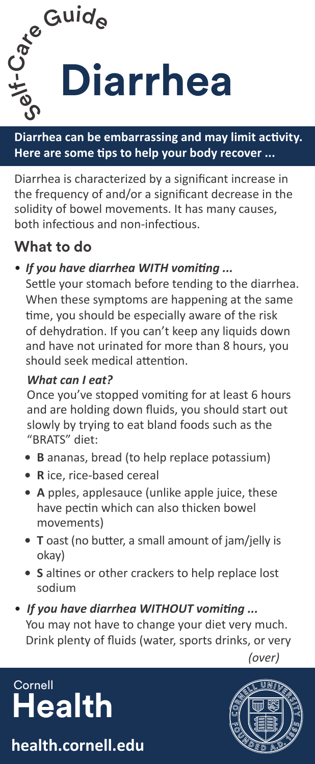

**Diarrhea can be embarrassing and may limit activity. Here are some tips to help your body recover ...**

Diarrhea is characterized by a significant increase in the frequency of and/or a significant decrease in the solidity of bowel movements. It has many causes, both infectious and non-infectious.

### **What to do**

### • *If you have diarrhea WITH vomiting ...*

Settle your stomach before tending to the diarrhea. When these symptoms are happening at the same time, you should be especially aware of the risk of dehydration. If you can't keep any liquids down and have not urinated for more than 8 hours, you should seek medical attention.

#### *What can I eat?*

Once you've stopped vomiting for at least 6 hours and are holding down fluids, you should start out slowly by trying to eat bland foods such as the "BRATS" diet:

- **• B** ananas, bread (to help replace potassium)
- **• R** ice, rice-based cereal
- **• A** pples, applesauce (unlike apple juice, these have pectin which can also thicken bowel movements)
- **• T** oast (no butter, a small amount of jam/jelly is okay)
- **• S** altines or other crackers to help replace lost sodium
- *If you have diarrhea WITHOUT vomiting ...*  You may not have to change your diet very much. Drink plenty of fluids (water, sports drinks, or very spicy foods, full-strength juice (the sugars make diarrhea worse), and other foods

*(over)*  $\alpha$ 

# **Cornell Health**

**health.cornell.edu**